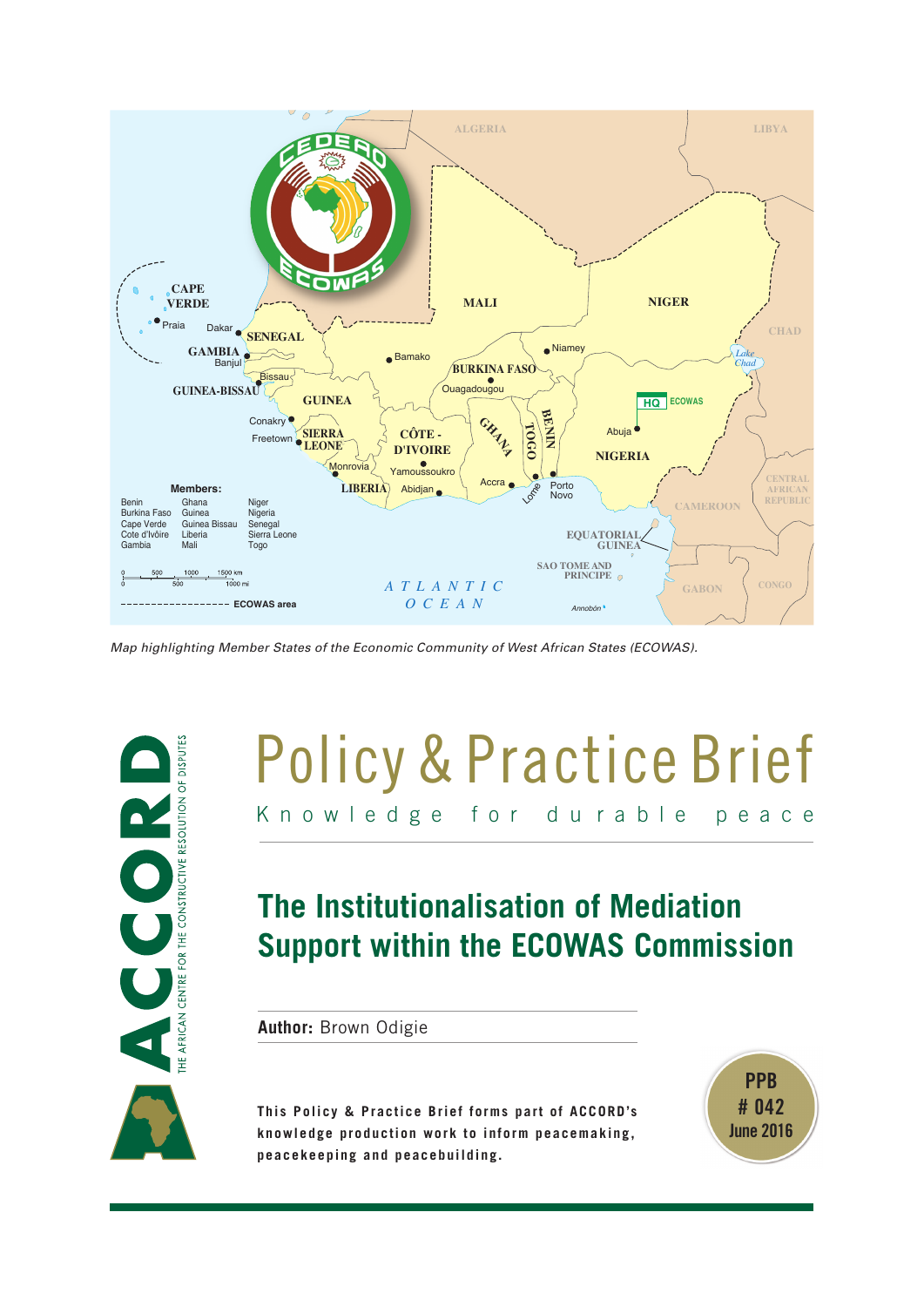

*Map highlighting Member States of the Economic Community of West African States (ECOWAS).*



# Knowledge for du rable peace Policy & Practice Brief

# **The Institutionalisation of Mediation Support within the ECOWAS Commission**

**Author:** Brown Odigie

**This Policy & Practice Brief forms part of ACCORD's knowledge production work to inform peacemaking, peacekeeping and peacebuilding.**

**PPB # 042 June 2016**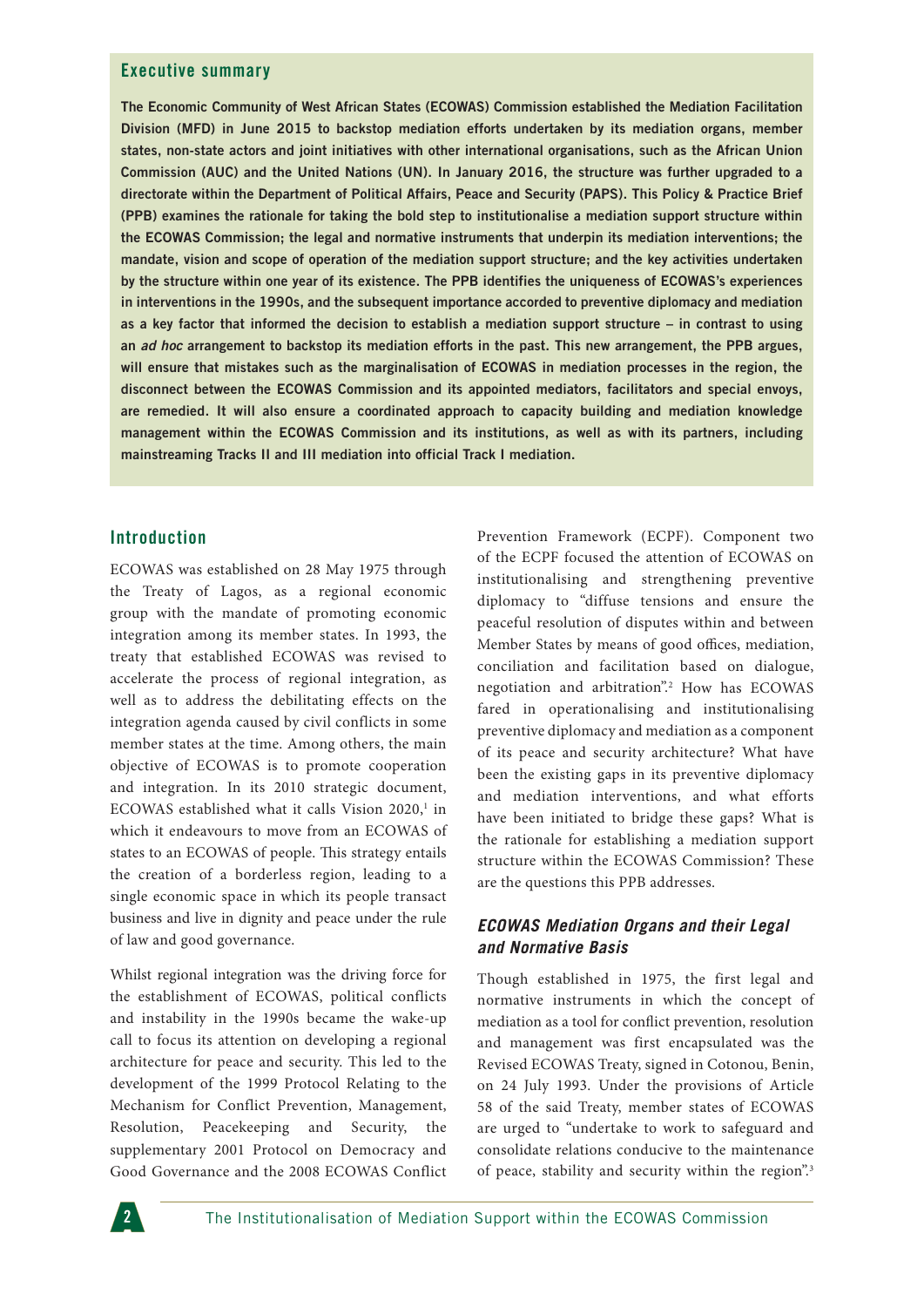#### **Executive summary**

**The Economic Community of West African States (ECOWAS) Commission established the Mediation Facilitation Division (MFD) in June 2015 to backstop mediation efforts undertaken by its mediation organs, member states, non-state actors and joint initiatives with other international organisations, such as the African Union Commission (AUC) and the United Nations (UN). In January 2016, the structure was further upgraded to a directorate within the Department of Political Affairs, Peace and Security (PAPS). This Policy & Practice Brief (PPB) examines the rationale for taking the bold step to institutionalise a mediation support structure within the ECOWAS Commission; the legal and normative instruments that underpin its mediation interventions; the mandate, vision and scope of operation of the mediation support structure; and the key activities undertaken by the structure within one year of its existence. The PPB identifies the uniqueness of ECOWAS's experiences in interventions in the 1990s, and the subsequent importance accorded to preventive diplomacy and mediation as a key factor that informed the decision to establish a mediation support structure – in contrast to using an** *ad hoc* **arrangement to backstop its mediation efforts in the past. This new arrangement, the PPB argues, will ensure that mistakes such as the marginalisation of ECOWAS in mediation processes in the region, the disconnect between the ECOWAS Commission and its appointed mediators, facilitators and special envoys, are remedied. It will also ensure a coordinated approach to capacity building and mediation knowledge management within the ECOWAS Commission and its institutions, as well as with its partners, including mainstreaming Tracks II and III mediation into official Track I mediation.**

#### **Introduction**

ECOWAS was established on 28 May 1975 through the Treaty of Lagos, as a regional economic group with the mandate of promoting economic integration among its member states. In 1993, the treaty that established ECOWAS was revised to accelerate the process of regional integration, as well as to address the debilitating effects on the integration agenda caused by civil conflicts in some member states at the time. Among others, the main objective of ECOWAS is to promote cooperation and integration. In its 2010 strategic document, ECOWAS established what it calls Vision 2020,<sup>1</sup> in which it endeavours to move from an ECOWAS of states to an ECOWAS of people. This strategy entails the creation of a borderless region, leading to a single economic space in which its people transact business and live in dignity and peace under the rule of law and good governance.

Whilst regional integration was the driving force for the establishment of ECOWAS, political conflicts and instability in the 1990s became the wake-up call to focus its attention on developing a regional architecture for peace and security. This led to the development of the 1999 Protocol Relating to the Mechanism for Conflict Prevention, Management, Resolution, Peacekeeping and Security, the supplementary 2001 Protocol on Democracy and Good Governance and the 2008 ECOWAS Conflict

Prevention Framework (ECPF). Component two of the ECPF focused the attention of ECOWAS on institutionalising and strengthening preventive diplomacy to "diffuse tensions and ensure the peaceful resolution of disputes within and between Member States by means of good offices, mediation, conciliation and facilitation based on dialogue, negotiation and arbitration".2 How has ECOWAS fared in operationalising and institutionalising preventive diplomacy and mediation as a component of its peace and security architecture? What have been the existing gaps in its preventive diplomacy and mediation interventions, and what efforts have been initiated to bridge these gaps? What is the rationale for establishing a mediation support structure within the ECOWAS Commission? These are the questions this PPB addresses.

#### *ECOWAS Mediation Organs and their Legal and Normative Basis*

Though established in 1975, the first legal and normative instruments in which the concept of mediation as a tool for conflict prevention, resolution and management was first encapsulated was the Revised ECOWAS Treaty, signed in Cotonou, Benin, on 24 July 1993. Under the provisions of Article 58 of the said Treaty, member states of ECOWAS are urged to "undertake to work to safeguard and consolidate relations conducive to the maintenance of peace, stability and security within the region".<sup>3</sup>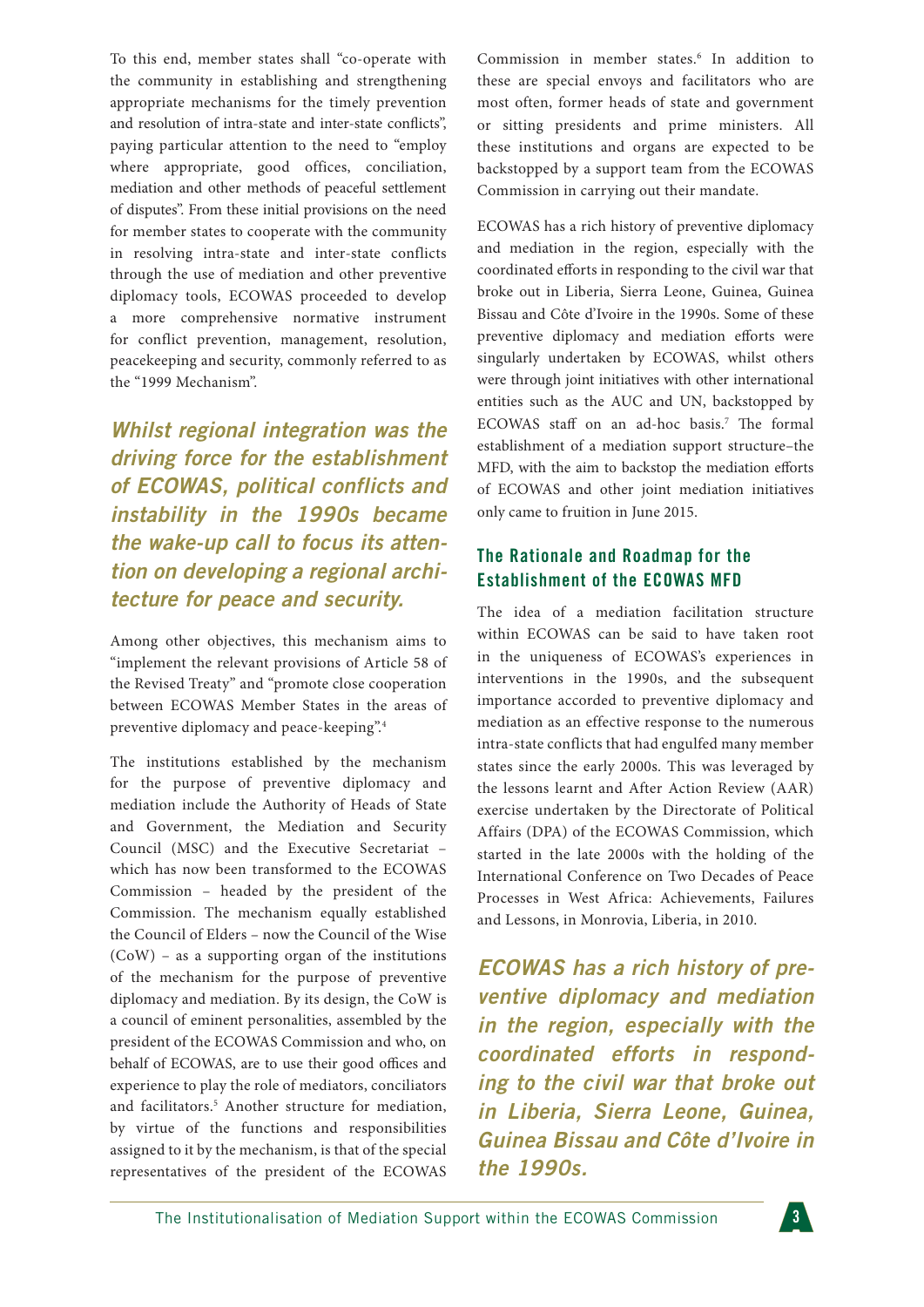To this end, member states shall "co-operate with the community in establishing and strengthening appropriate mechanisms for the timely prevention and resolution of intra-state and inter-state conflicts", paying particular attention to the need to "employ where appropriate, good offices, conciliation, mediation and other methods of peaceful settlement of disputes". From these initial provisions on the need for member states to cooperate with the community in resolving intra-state and inter-state conflicts through the use of mediation and other preventive diplomacy tools, ECOWAS proceeded to develop a more comprehensive normative instrument for conflict prevention, management, resolution, peacekeeping and security, commonly referred to as the "1999 Mechanism".

*Whilst regional integration was the driving force for the establishment of ECOWAS, political conflicts and instability in the 1990s became the wake-up call to focus its attention on developing a regional architecture for peace and security.*

Among other objectives, this mechanism aims to "implement the relevant provisions of Article 58 of the Revised Treaty" and "promote close cooperation between ECOWAS Member States in the areas of preventive diplomacy and peace-keeping".4

The institutions established by the mechanism for the purpose of preventive diplomacy and mediation include the Authority of Heads of State and Government, the Mediation and Security Council (MSC) and the Executive Secretariat – which has now been transformed to the ECOWAS Commission – headed by the president of the Commission. The mechanism equally established the Council of Elders – now the Council of the Wise (CoW) – as a supporting organ of the institutions of the mechanism for the purpose of preventive diplomacy and mediation. By its design, the CoW is a council of eminent personalities, assembled by the president of the ECOWAS Commission and who, on behalf of ECOWAS, are to use their good offices and experience to play the role of mediators, conciliators and facilitators.5 Another structure for mediation, by virtue of the functions and responsibilities assigned to it by the mechanism, is that of the special representatives of the president of the ECOWAS

Commission in member states.<sup>6</sup> In addition to these are special envoys and facilitators who are most often, former heads of state and government or sitting presidents and prime ministers. All these institutions and organs are expected to be backstopped by a support team from the ECOWAS Commission in carrying out their mandate.

ECOWAS has a rich history of preventive diplomacy and mediation in the region, especially with the coordinated efforts in responding to the civil war that broke out in Liberia, Sierra Leone, Guinea, Guinea Bissau and Côte d'Ivoire in the 1990s. Some of these preventive diplomacy and mediation efforts were singularly undertaken by ECOWAS, whilst others were through joint initiatives with other international entities such as the AUC and UN, backstopped by ECOWAS staff on an ad-hoc basis.<sup>7</sup> The formal establishment of a mediation support structure–the MFD, with the aim to backstop the mediation efforts of ECOWAS and other joint mediation initiatives only came to fruition in June 2015.

## **The Rationale and Roadmap for the Establishment of the ECOWAS MFD**

The idea of a mediation facilitation structure within ECOWAS can be said to have taken root in the uniqueness of ECOWAS's experiences in interventions in the 1990s, and the subsequent importance accorded to preventive diplomacy and mediation as an effective response to the numerous intra-state conflicts that had engulfed many member states since the early 2000s. This was leveraged by the lessons learnt and After Action Review (AAR) exercise undertaken by the Directorate of Political Affairs (DPA) of the ECOWAS Commission, which started in the late 2000s with the holding of the International Conference on Two Decades of Peace Processes in West Africa: Achievements, Failures and Lessons, in Monrovia, Liberia, in 2010.

*ECOWAS has a rich history of preventive diplomacy and mediation in the region, especially with the coordinated efforts in responding to the civil war that broke out in Liberia, Sierra Leone, Guinea, Guinea Bissau and Côte d'Ivoire in the 1990s.*

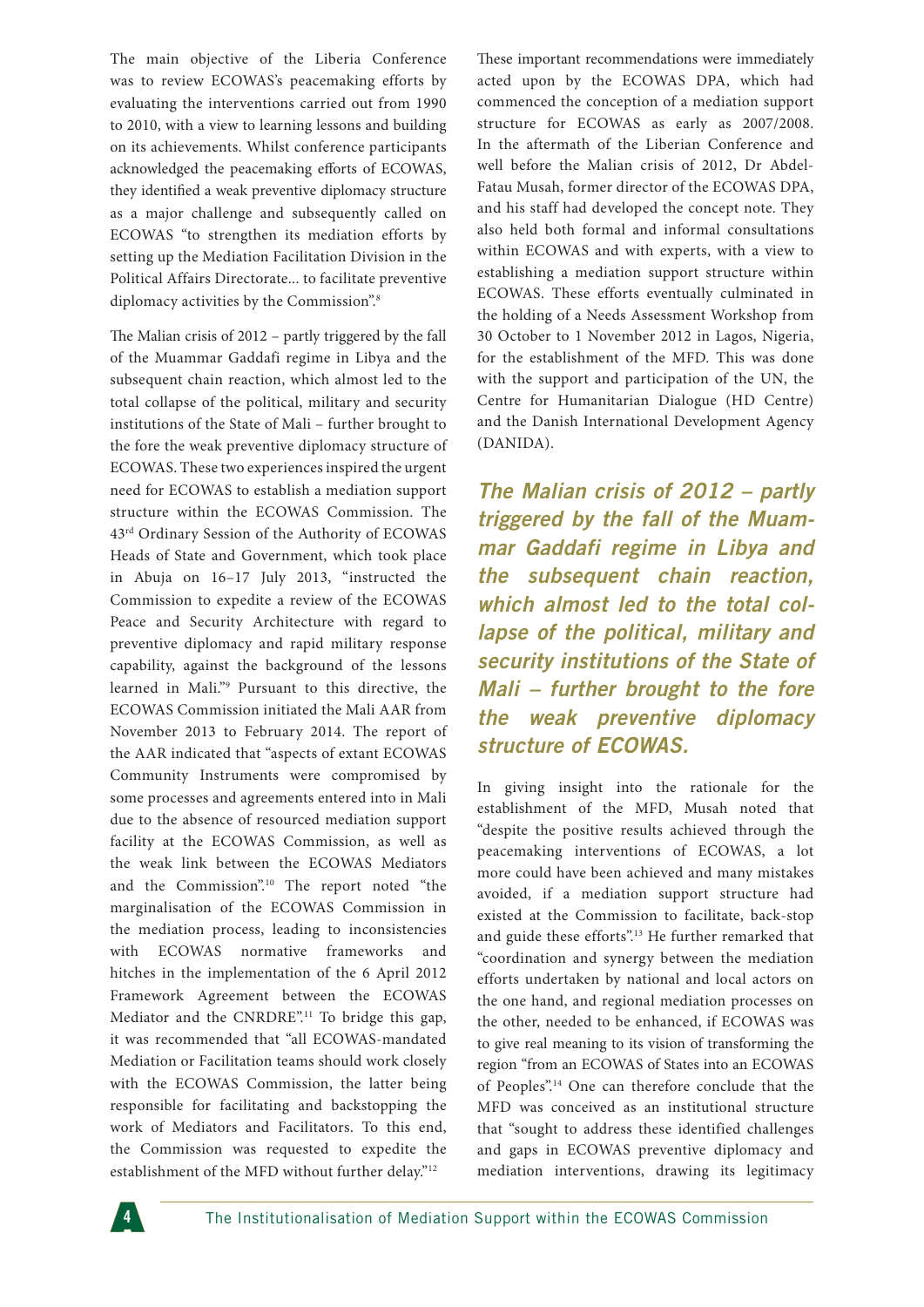The main objective of the Liberia Conference was to review ECOWAS's peacemaking efforts by evaluating the interventions carried out from 1990 to 2010, with a view to learning lessons and building on its achievements. Whilst conference participants acknowledged the peacemaking efforts of ECOWAS, they identified a weak preventive diplomacy structure as a major challenge and subsequently called on ECOWAS "to strengthen its mediation efforts by setting up the Mediation Facilitation Division in the Political Affairs Directorate... to facilitate preventive diplomacy activities by the Commission".<sup>8</sup>

The Malian crisis of 2012 – partly triggered by the fall of the Muammar Gaddafi regime in Libya and the subsequent chain reaction, which almost led to the total collapse of the political, military and security institutions of the State of Mali – further brought to the fore the weak preventive diplomacy structure of ECOWAS. These two experiences inspired the urgent need for ECOWAS to establish a mediation support structure within the ECOWAS Commission. The 43rd Ordinary Session of the Authority of ECOWAS Heads of State and Government, which took place in Abuja on 16–17 July 2013, "instructed the Commission to expedite a review of the ECOWAS Peace and Security Architecture with regard to preventive diplomacy and rapid military response capability, against the background of the lessons learned in Mali."9 Pursuant to this directive, the ECOWAS Commission initiated the Mali AAR from November 2013 to February 2014. The report of the AAR indicated that "aspects of extant ECOWAS Community Instruments were compromised by some processes and agreements entered into in Mali due to the absence of resourced mediation support facility at the ECOWAS Commission, as well as the weak link between the ECOWAS Mediators and the Commission".<sup>10</sup> The report noted "the marginalisation of the ECOWAS Commission in the mediation process, leading to inconsistencies with ECOWAS normative frameworks and hitches in the implementation of the 6 April 2012 Framework Agreement between the ECOWAS Mediator and the CNRDRE".<sup>11</sup> To bridge this gap, it was recommended that "all ECOWAS-mandated Mediation or Facilitation teams should work closely with the ECOWAS Commission, the latter being responsible for facilitating and backstopping the work of Mediators and Facilitators. To this end, the Commission was requested to expedite the establishment of the MFD without further delay."<sup>12</sup>

These important recommendations were immediately acted upon by the ECOWAS DPA, which had commenced the conception of a mediation support structure for ECOWAS as early as 2007/2008. In the aftermath of the Liberian Conference and well before the Malian crisis of 2012, Dr Abdel-Fatau Musah, former director of the ECOWAS DPA, and his staff had developed the concept note. They also held both formal and informal consultations within ECOWAS and with experts, with a view to establishing a mediation support structure within ECOWAS. These efforts eventually culminated in the holding of a Needs Assessment Workshop from 30 October to 1 November 2012 in Lagos, Nigeria, for the establishment of the MFD. This was done with the support and participation of the UN, the Centre for Humanitarian Dialogue (HD Centre) and the Danish International Development Agency (DANIDA).

*The Malian crisis of 2012 – partly triggered by the fall of the Muammar Gaddafi regime in Libya and the subsequent chain reaction, which almost led to the total collapse of the political, military and security institutions of the State of Mali – further brought to the fore the weak preventive diplomacy structure of ECOWAS.*

In giving insight into the rationale for the establishment of the MFD, Musah noted that "despite the positive results achieved through the peacemaking interventions of ECOWAS, a lot more could have been achieved and many mistakes avoided, if a mediation support structure had existed at the Commission to facilitate, back-stop and guide these efforts".<sup>13</sup> He further remarked that "coordination and synergy between the mediation efforts undertaken by national and local actors on the one hand, and regional mediation processes on the other, needed to be enhanced, if ECOWAS was to give real meaning to its vision of transforming the region "from an ECOWAS of States into an ECOWAS of Peoples".14 One can therefore conclude that the MFD was conceived as an institutional structure that "sought to address these identified challenges and gaps in ECOWAS preventive diplomacy and mediation interventions, drawing its legitimacy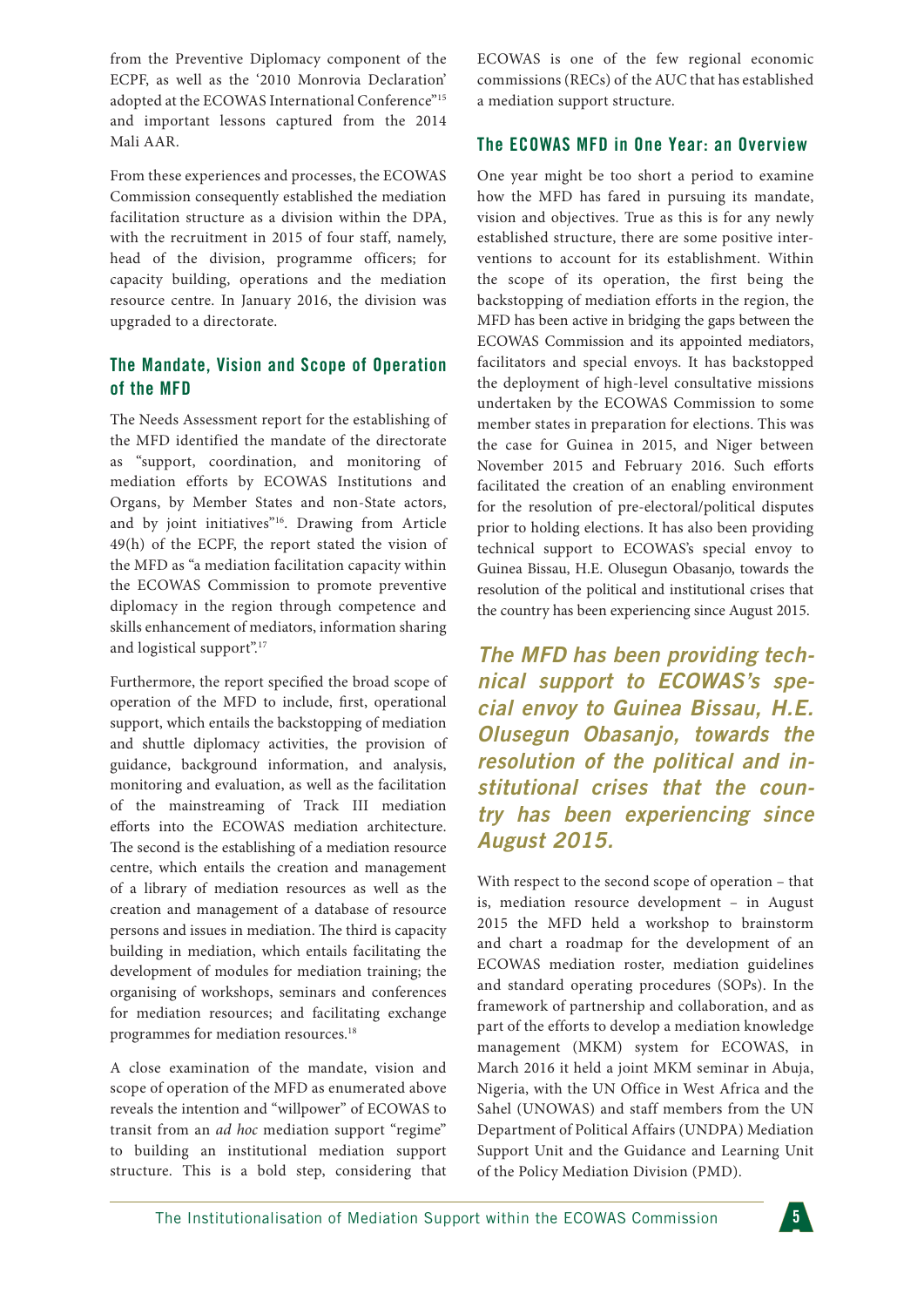from the Preventive Diplomacy component of the ECPF, as well as the '2010 Monrovia Declaration' adopted at the ECOWAS International Conference"<sup>15</sup> and important lessons captured from the 2014 Mali AAR.

From these experiences and processes, the ECOWAS Commission consequently established the mediation facilitation structure as a division within the DPA, with the recruitment in 2015 of four staff, namely, head of the division, programme officers; for capacity building, operations and the mediation resource centre. In January 2016, the division was upgraded to a directorate.

# **The Mandate, Vision and Scope of Operation of the MFD**

The Needs Assessment report for the establishing of the MFD identified the mandate of the directorate as "support, coordination, and monitoring of mediation efforts by ECOWAS Institutions and Organs, by Member States and non-State actors, and by joint initiatives"<sup>16</sup>. Drawing from Article 49(h) of the ECPF, the report stated the vision of the MFD as "a mediation facilitation capacity within the ECOWAS Commission to promote preventive diplomacy in the region through competence and skills enhancement of mediators, information sharing and logistical support".17

Furthermore, the report specified the broad scope of operation of the MFD to include, first, operational support, which entails the backstopping of mediation and shuttle diplomacy activities, the provision of guidance, background information, and analysis, monitoring and evaluation, as well as the facilitation of the mainstreaming of Track III mediation efforts into the ECOWAS mediation architecture. The second is the establishing of a mediation resource centre, which entails the creation and management of a library of mediation resources as well as the creation and management of a database of resource persons and issues in mediation. The third is capacity building in mediation, which entails facilitating the development of modules for mediation training; the organising of workshops, seminars and conferences for mediation resources; and facilitating exchange programmes for mediation resources.18

A close examination of the mandate, vision and scope of operation of the MFD as enumerated above reveals the intention and "willpower" of ECOWAS to transit from an *ad hoc* mediation support "regime" to building an institutional mediation support structure. This is a bold step, considering that ECOWAS is one of the few regional economic commissions (RECs) of the AUC that has established a mediation support structure.

#### **The ECOWAS MFD in One Year: an Overview**

One year might be too short a period to examine how the MFD has fared in pursuing its mandate, vision and objectives. True as this is for any newly established structure, there are some positive interventions to account for its establishment. Within the scope of its operation, the first being the backstopping of mediation efforts in the region, the MFD has been active in bridging the gaps between the ECOWAS Commission and its appointed mediators, facilitators and special envoys. It has backstopped the deployment of high-level consultative missions undertaken by the ECOWAS Commission to some member states in preparation for elections. This was the case for Guinea in 2015, and Niger between November 2015 and February 2016. Such efforts facilitated the creation of an enabling environment for the resolution of pre-electoral/political disputes prior to holding elections. It has also been providing technical support to ECOWAS's special envoy to Guinea Bissau, H.E. Olusegun Obasanjo, towards the resolution of the political and institutional crises that the country has been experiencing since August 2015.

*The MFD has been providing technical support to ECOWAS's special envoy to Guinea Bissau, H.E. Olusegun Obasanjo, towards the resolution of the political and institutional crises that the country has been experiencing since August 2015.*

With respect to the second scope of operation – that is, mediation resource development – in August 2015 the MFD held a workshop to brainstorm and chart a roadmap for the development of an ECOWAS mediation roster, mediation guidelines and standard operating procedures (SOPs). In the framework of partnership and collaboration, and as part of the efforts to develop a mediation knowledge management (MKM) system for ECOWAS, in March 2016 it held a joint MKM seminar in Abuja, Nigeria, with the UN Office in West Africa and the Sahel (UNOWAS) and staff members from the UN Department of Political Affairs (UNDPA) Mediation Support Unit and the Guidance and Learning Unit of the Policy Mediation Division (PMD).

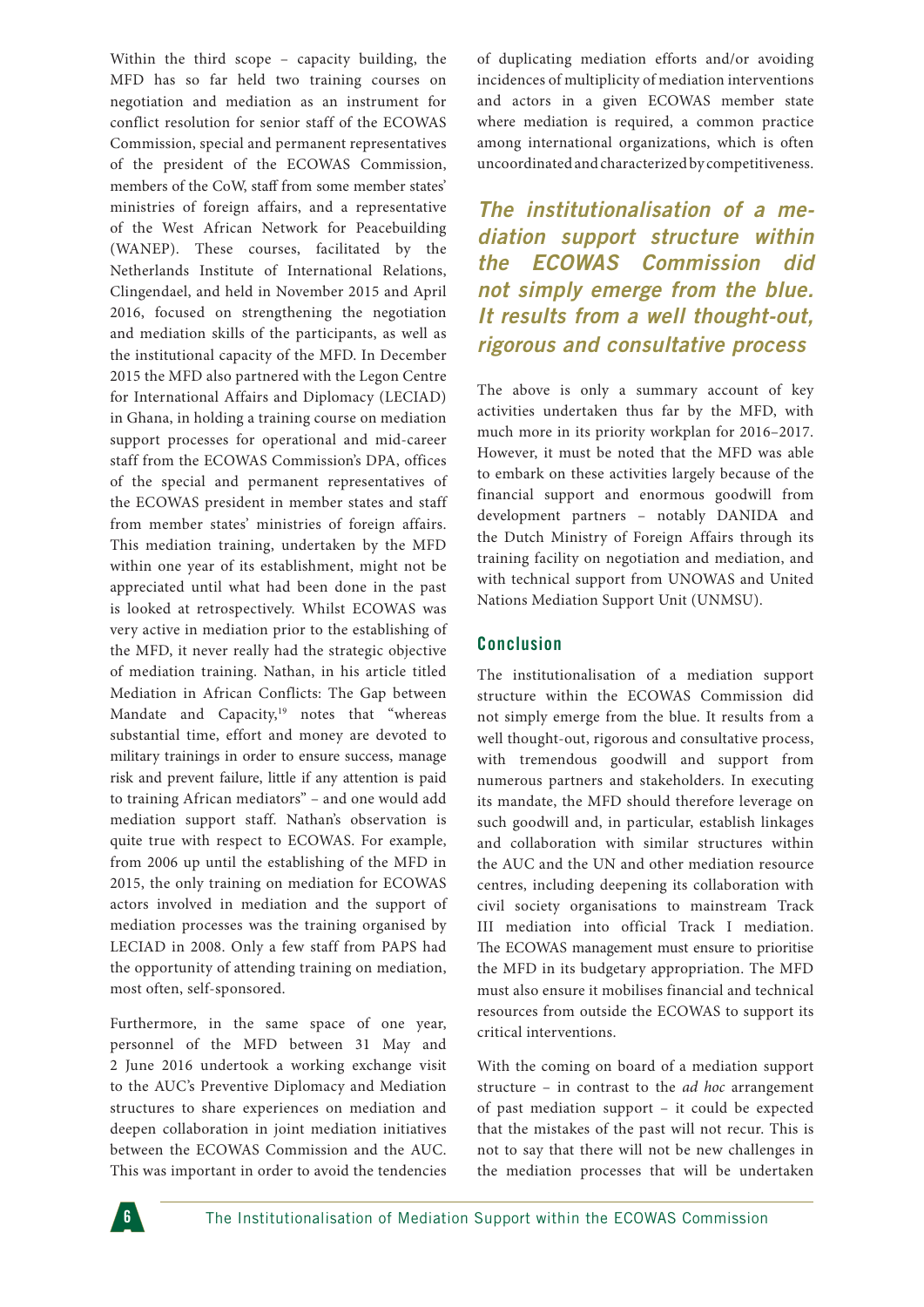Within the third scope – capacity building, the MFD has so far held two training courses on negotiation and mediation as an instrument for conflict resolution for senior staff of the ECOWAS Commission, special and permanent representatives of the president of the ECOWAS Commission, members of the CoW, staff from some member states' ministries of foreign affairs, and a representative of the West African Network for Peacebuilding (WANEP). These courses, facilitated by the Netherlands Institute of International Relations, Clingendael, and held in November 2015 and April 2016, focused on strengthening the negotiation and mediation skills of the participants, as well as the institutional capacity of the MFD. In December 2015 the MFD also partnered with the Legon Centre for International Affairs and Diplomacy (LECIAD) in Ghana, in holding a training course on mediation support processes for operational and mid-career staff from the ECOWAS Commission's DPA, offices of the special and permanent representatives of the ECOWAS president in member states and staff from member states' ministries of foreign affairs. This mediation training, undertaken by the MFD within one year of its establishment, might not be appreciated until what had been done in the past is looked at retrospectively. Whilst ECOWAS was very active in mediation prior to the establishing of the MFD, it never really had the strategic objective of mediation training. Nathan, in his article titled Mediation in African Conflicts: The Gap between Mandate and Capacity,<sup>19</sup> notes that "whereas substantial time, effort and money are devoted to military trainings in order to ensure success, manage risk and prevent failure, little if any attention is paid to training African mediators" – and one would add mediation support staff. Nathan's observation is quite true with respect to ECOWAS. For example, from 2006 up until the establishing of the MFD in 2015, the only training on mediation for ECOWAS actors involved in mediation and the support of mediation processes was the training organised by LECIAD in 2008. Only a few staff from PAPS had the opportunity of attending training on mediation, most often, self-sponsored.

Furthermore, in the same space of one year, personnel of the MFD between 31 May and 2 June 2016 undertook a working exchange visit to the AUC's Preventive Diplomacy and Mediation structures to share experiences on mediation and deepen collaboration in joint mediation initiatives between the ECOWAS Commission and the AUC. This was important in order to avoid the tendencies

of duplicating mediation efforts and/or avoiding incidences of multiplicity of mediation interventions and actors in a given ECOWAS member state where mediation is required, a common practice among international organizations, which is often uncoordinated and characterized by competitiveness.

*The institutionalisation of a mediation support structure within the ECOWAS Commission did not simply emerge from the blue. It results from a well thought-out, rigorous and consultative process*

The above is only a summary account of key activities undertaken thus far by the MFD, with much more in its priority workplan for 2016–2017. However, it must be noted that the MFD was able to embark on these activities largely because of the financial support and enormous goodwill from development partners – notably DANIDA and the Dutch Ministry of Foreign Affairs through its training facility on negotiation and mediation, and with technical support from UNOWAS and United Nations Mediation Support Unit (UNMSU).

### **Conclusion**

The institutionalisation of a mediation support structure within the ECOWAS Commission did not simply emerge from the blue. It results from a well thought-out, rigorous and consultative process, with tremendous goodwill and support from numerous partners and stakeholders. In executing its mandate, the MFD should therefore leverage on such goodwill and, in particular, establish linkages and collaboration with similar structures within the AUC and the UN and other mediation resource centres, including deepening its collaboration with civil society organisations to mainstream Track III mediation into official Track I mediation. The ECOWAS management must ensure to prioritise the MFD in its budgetary appropriation. The MFD must also ensure it mobilises financial and technical resources from outside the ECOWAS to support its critical interventions.

With the coming on board of a mediation support structure – in contrast to the *ad hoc* arrangement of past mediation support – it could be expected that the mistakes of the past will not recur. This is not to say that there will not be new challenges in the mediation processes that will be undertaken